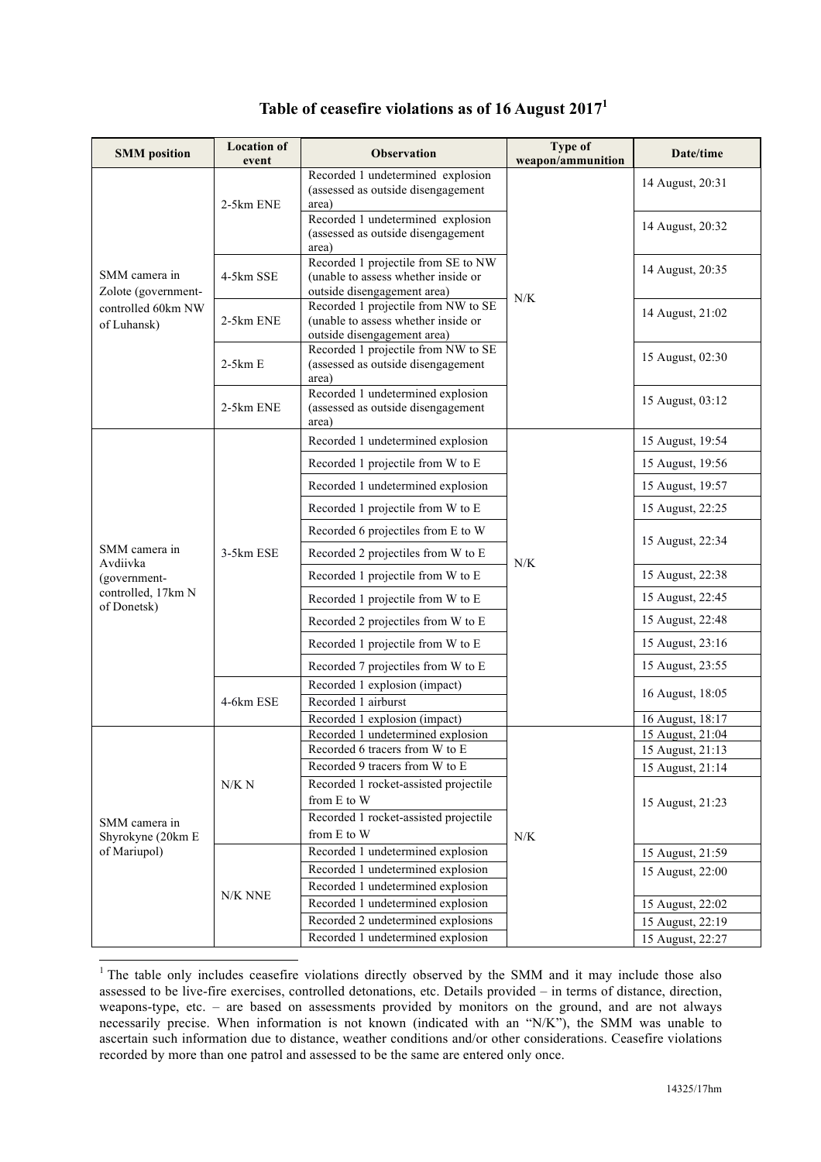| <b>SMM</b> position                                                            | <b>Location of</b><br>event | <b>Observation</b>                                                                                        | Type of<br>weapon/ammunition | Date/time        |
|--------------------------------------------------------------------------------|-----------------------------|-----------------------------------------------------------------------------------------------------------|------------------------------|------------------|
| SMM camera in<br>Zolote (government-<br>controlled 60km NW<br>of Luhansk)      | 2-5km ENE                   | Recorded 1 undetermined explosion<br>(assessed as outside disengagement<br>area)                          | N/K                          | 14 August, 20:31 |
|                                                                                |                             | Recorded 1 undetermined explosion<br>(assessed as outside disengagement<br>area)                          |                              | 14 August, 20:32 |
|                                                                                | 4-5km SSE                   | Recorded 1 projectile from SE to NW<br>(unable to assess whether inside or<br>outside disengagement area) |                              | 14 August, 20:35 |
|                                                                                | 2-5km ENE                   | Recorded 1 projectile from NW to SE<br>(unable to assess whether inside or<br>outside disengagement area) |                              | 14 August, 21:02 |
|                                                                                | $2-5km E$                   | Recorded 1 projectile from NW to SE<br>(assessed as outside disengagement<br>area)                        |                              | 15 August, 02:30 |
|                                                                                | 2-5km ENE                   | Recorded 1 undetermined explosion<br>(assessed as outside disengagement<br>area)                          |                              | 15 August, 03:12 |
| SMM camera in<br>Avdiivka<br>(government-<br>controlled, 17km N<br>of Donetsk) | 3-5km ESE                   | Recorded 1 undetermined explosion                                                                         | N/K                          | 15 August, 19:54 |
|                                                                                |                             | Recorded 1 projectile from W to E                                                                         |                              | 15 August, 19:56 |
|                                                                                |                             | Recorded 1 undetermined explosion                                                                         |                              | 15 August, 19:57 |
|                                                                                |                             | Recorded 1 projectile from W to E                                                                         |                              | 15 August, 22:25 |
|                                                                                |                             | Recorded 6 projectiles from E to W                                                                        |                              | 15 August, 22:34 |
|                                                                                |                             | Recorded 2 projectiles from W to E                                                                        |                              |                  |
|                                                                                |                             | Recorded 1 projectile from W to E                                                                         |                              | 15 August, 22:38 |
|                                                                                |                             | Recorded 1 projectile from W to E                                                                         |                              | 15 August, 22:45 |
|                                                                                |                             | Recorded 2 projectiles from W to E                                                                        |                              | 15 August, 22:48 |
|                                                                                |                             | Recorded 1 projectile from W to E                                                                         |                              | 15 August, 23:16 |
|                                                                                |                             | Recorded 7 projectiles from W to E                                                                        |                              | 15 August, 23:55 |
|                                                                                | 4-6km ESE                   | Recorded 1 explosion (impact)<br>Recorded 1 airburst                                                      |                              | 16 August, 18:05 |
|                                                                                |                             | Recorded 1 explosion (impact)                                                                             |                              | 16 August, 18:17 |
| SMM camera in<br>Shyrokyne (20km E<br>of Mariupol)                             | N/K N                       | Recorded 1 undetermined explosion                                                                         | N/K                          | 15 August, 21:04 |
|                                                                                |                             | Recorded 6 tracers from W to E                                                                            |                              | 15 August, 21:13 |
|                                                                                |                             | Recorded 9 tracers from W to E                                                                            |                              | 15 August, 21:14 |
|                                                                                |                             | Recorded 1 rocket-assisted projectile<br>from E to W                                                      |                              |                  |
|                                                                                |                             | Recorded 1 rocket-assisted projectile                                                                     |                              | 15 August, 21:23 |
|                                                                                |                             | from E to W                                                                                               |                              |                  |
|                                                                                | N/K NNE                     | Recorded 1 undetermined explosion                                                                         |                              | 15 August, 21:59 |
|                                                                                |                             | Recorded 1 undetermined explosion                                                                         |                              | 15 August, 22:00 |
|                                                                                |                             | Recorded 1 undetermined explosion                                                                         |                              |                  |
|                                                                                |                             | Recorded 1 undetermined explosion                                                                         |                              | 15 August, 22:02 |
|                                                                                |                             | Recorded 2 undetermined explosions                                                                        |                              | 15 August, 22:19 |
|                                                                                |                             | Recorded 1 undetermined explosion                                                                         |                              | 15 August, 22:27 |

## **Table of ceasefire violations as of 16 August 2017<sup>1</sup>**

<sup>&</sup>lt;sup>1</sup> The table only includes ceasefire violations directly observed by the SMM and it may include those also assessed to be live-fire exercises, controlled detonations, etc. Details provided – in terms of distance, direction, weapons-type, etc. – are based on assessments provided by monitors on the ground, and are not always necessarily precise. When information is not known (indicated with an "N/K"), the SMM was unable to ascertain such information due to distance, weather conditions and/or other considerations. Ceasefire violations recorded by more than one patrol and assessed to be the same are entered only once.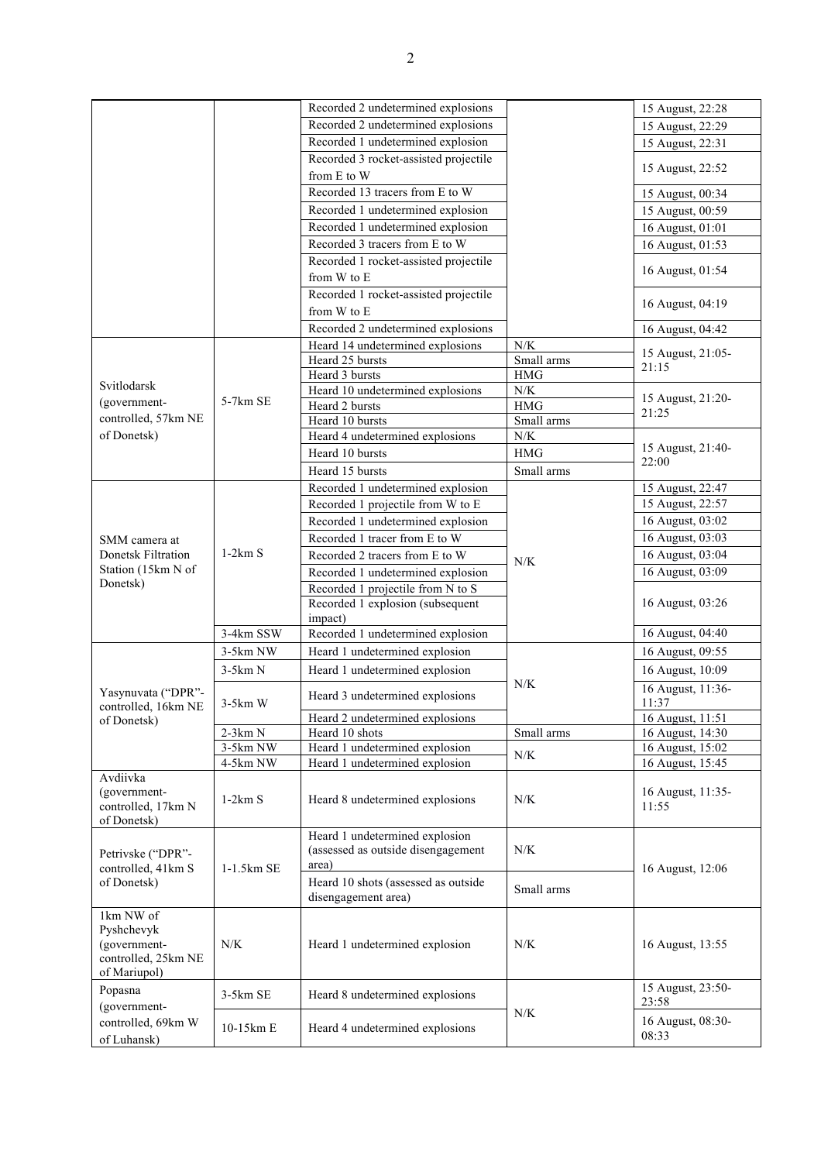|                                                        |            | Recorded 2 undetermined explosions    |             | 15 August, 22:28           |
|--------------------------------------------------------|------------|---------------------------------------|-------------|----------------------------|
|                                                        |            | Recorded 2 undetermined explosions    |             | 15 August, 22:29           |
|                                                        |            | Recorded 1 undetermined explosion     |             | 15 August, 22:31           |
|                                                        |            | Recorded 3 rocket-assisted projectile |             |                            |
|                                                        |            | from E to W                           |             | 15 August, 22:52           |
|                                                        |            | Recorded 13 tracers from E to W       |             | 15 August, 00:34           |
|                                                        |            | Recorded 1 undetermined explosion     |             | 15 August, 00:59           |
|                                                        |            | Recorded 1 undetermined explosion     |             | 16 August, 01:01           |
|                                                        |            | Recorded 3 tracers from E to W        |             | 16 August, 01:53           |
|                                                        |            | Recorded 1 rocket-assisted projectile |             |                            |
|                                                        |            | from W to E                           |             | 16 August, 01:54           |
|                                                        |            | Recorded 1 rocket-assisted projectile |             |                            |
|                                                        |            | from W to E                           |             | 16 August, 04:19           |
|                                                        |            | Recorded 2 undetermined explosions    |             | 16 August, 04:42           |
|                                                        |            | Heard 14 undetermined explosions      | N/K         |                            |
|                                                        |            | Heard 25 bursts                       | Small arms  | 15 August, 21:05-<br>21:15 |
|                                                        |            | Heard 3 bursts                        | HMG         |                            |
| Svitlodarsk                                            |            | Heard 10 undetermined explosions      | ${\rm N/K}$ |                            |
| (government-                                           | $5-7km$ SE | Heard 2 bursts                        | <b>HMG</b>  | 15 August, 21:20-<br>21:25 |
| controlled, 57km NE                                    |            | Heard 10 bursts                       | Small arms  |                            |
| of Donetsk)                                            |            | Heard 4 undetermined explosions       | ${\rm N/K}$ |                            |
|                                                        |            | Heard 10 bursts                       | <b>HMG</b>  | 15 August, 21:40-<br>22:00 |
|                                                        |            | Heard 15 bursts                       | Small arms  |                            |
|                                                        |            | Recorded 1 undetermined explosion     |             | 15 August, 22:47           |
|                                                        |            | Recorded 1 projectile from W to E     |             | 15 August, 22:57           |
|                                                        |            | Recorded 1 undetermined explosion     |             | 16 August, 03:02           |
| SMM camera at                                          |            | Recorded 1 tracer from E to W         |             | 16 August, 03:03           |
| Donetsk Filtration                                     | $1-2km S$  | Recorded 2 tracers from E to W        |             | 16 August, 03:04           |
| Station (15km N of                                     |            | Recorded 1 undetermined explosion     | N/K         | 16 August, 03:09           |
| Donetsk)                                               |            | Recorded 1 projectile from N to S     |             | 16 August, 03:26           |
|                                                        |            | Recorded 1 explosion (subsequent      |             |                            |
|                                                        |            | impact)                               |             |                            |
|                                                        | 3-4km SSW  | Recorded 1 undetermined explosion     |             | 16 August, 04:40           |
|                                                        | 3-5km NW   | Heard 1 undetermined explosion        |             | 16 August, 09:55           |
|                                                        | $3-5km N$  | Heard 1 undetermined explosion        |             | 16 August, 10:09           |
| Yasynuvata ("DPR"-                                     | $3-5km$ W  |                                       | N/K         | 16 August, 11:36-          |
| controlled, 16km NE<br>of Donetsk)                     |            | Heard 3 undetermined explosions       |             | 11:37                      |
|                                                        |            | Heard 2 undetermined explosions       |             | 16 August, 11:51           |
|                                                        | $2-3km N$  | Heard 10 shots                        | Small arms  | 16 August, 14:30           |
|                                                        | 3-5km NW   | Heard 1 undetermined explosion        | N/K         | 16 August, 15:02           |
|                                                        | 4-5km NW   | Heard 1 undetermined explosion        |             | 16 August, 15:45           |
| Avdiivka<br>(government-                               |            |                                       |             | 16 August, 11:35-          |
| controlled, 17km N<br>of Donetsk)                      | $1-2km S$  | Heard 8 undetermined explosions       | N/K         | 11:55                      |
|                                                        |            |                                       |             |                            |
| Petrivske ("DPR"-<br>controlled, 41km S<br>of Donetsk) | 1-1.5km SE | Heard 1 undetermined explosion        |             |                            |
|                                                        |            | (assessed as outside disengagement    | $N/K$       |                            |
|                                                        |            | area)                                 |             | 16 August, 12:06           |
|                                                        |            | Heard 10 shots (assessed as outside   | Small arms  |                            |
|                                                        |            | disengagement area)                   |             |                            |
| 1km NW of                                              |            |                                       |             |                            |
| Pyshchevyk                                             |            |                                       |             |                            |
| (government-                                           | N/K        | Heard 1 undetermined explosion        | N/K         | 16 August, 13:55           |
| controlled, 25km NE<br>of Mariupol)                    |            |                                       |             |                            |
| Popasna                                                |            |                                       |             | 15 August, 23:50-          |
| (government-                                           | 3-5km SE   | Heard 8 undetermined explosions       | N/K         | 23:58                      |
| controlled, 69km W                                     | 10-15km E  |                                       |             | 16 August, 08:30-          |
| of Luhansk)                                            |            | Heard 4 undetermined explosions       |             | 08:33                      |
|                                                        |            |                                       |             |                            |